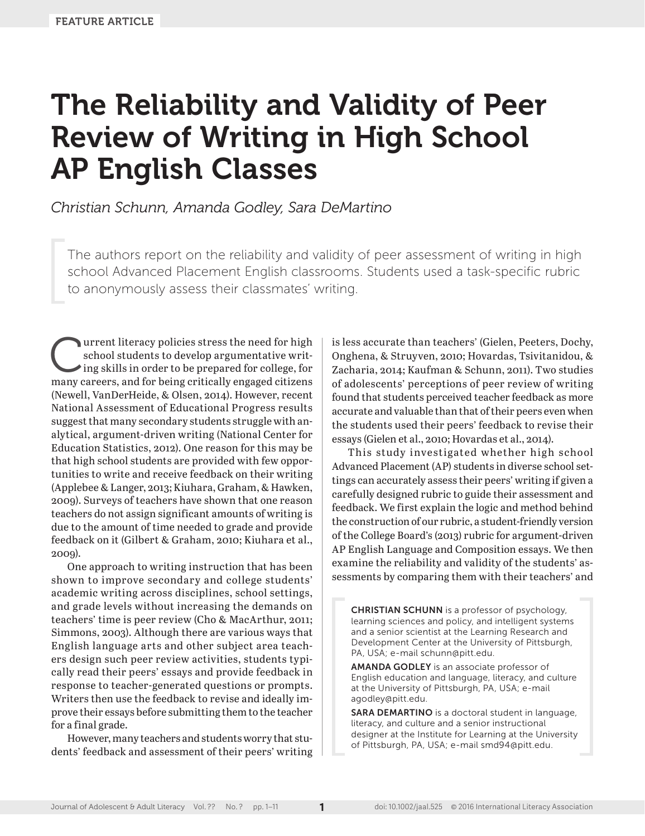# The Reliability and Validity of Peer Review of Writing in High School AP English Classes

*Christian Schunn, Amanda Godley, Sara DeMartino*

The authors report on the reliability and validity of peer assessment of writing in high school Advanced Placement English classrooms. Students used a task-specific rubric to anonymously assess their classmates' writing.

**Current literacy policies stress the need for high<br>
school students to develop argumentative writ-<br>
ing skills in order to be prepared for college, for<br>
many careors, and for being critically one<br>
order differences** school students to develop argumentative writmany careers, and for being critically engaged citizens (Newell, VanDerHeide, & Olsen, 2014). However, recent National Assessment of Educational Progress results suggest that many secondary students struggle with analytical, argument-driven writing (National Center for Education Statistics, 2012). One reason for this may be that high school students are provided with few opportunities to write and receive feedback on their writing (Applebee & Langer, 2013; Kiuhara, Graham, & Hawken, 2009). Surveys of teachers have shown that one reason teachers do not assign significant amounts of writing is due to the amount of time needed to grade and provide feedback on it (Gilbert & Graham, 2010; Kiuhara et al., 2009).

One approach to writing instruction that has been shown to improve secondary and college students' academic writing across disciplines, school settings, and grade levels without increasing the demands on teachers' time is peer review (Cho & MacArthur, 2011; Simmons, 2003). Although there are various ways that English language arts and other subject area teachers design such peer review activities, students typically read their peers' essays and provide feedback in response to teacher-generated questions or prompts. Writers then use the feedback to revise and ideally improve their essays before submitting them to the teacher for a final grade.

However, many teachers and students worry that students' feedback and assessment of their peers' writing is less accurate than teachers' (Gielen, Peeters, Dochy, Onghena, & Struyven, 2010; Hovardas, Tsivitanidou, & Zacharia, 2014; Kaufman & Schunn, 2011). Two studies of adolescents' perceptions of peer review of writing found that students perceived teacher feedback as more accurate and valuable than that of their peers even when the students used their peers' feedback to revise their essays (Gielen et al., 2010; Hovardas et al., 2014).

This study investigated whether high school Advanced Placement (AP) students in diverse school settings can accurately assess their peers' writing if given a carefully designed rubric to guide their assessment and feedback. We first explain the logic and method behind the construction of our rubric, a student-friendly version of the College Board's (2013) rubric for argument-driven AP English Language and Composition essays. We then examine the reliability and validity of the students' assessments by comparing them with their teachers' and

CHRISTIAN SCHUNN is a professor of psychology, learning sciences and policy, and intelligent systems and a senior scientist at the Learning Research and Development Center at the University of Pittsburgh, PA, USA; e-mail [schunn@pitt.edu.](mailto:schunn@pitt.edu)

AMANDA GODLEY is an associate professor of English education and language, literacy, and culture at the University of Pittsburgh, PA, USA; e-mail [agodley@pitt.edu](mailto:agodley@pitt.edu).

SARA DEMARTINO is a doctoral student in language, literacy, and culture and a senior instructional designer at the Institute for Learning at the University of Pittsburgh, PA, USA; e-mail [smd94@pitt.edu](mailto:smd94@pitt.edu).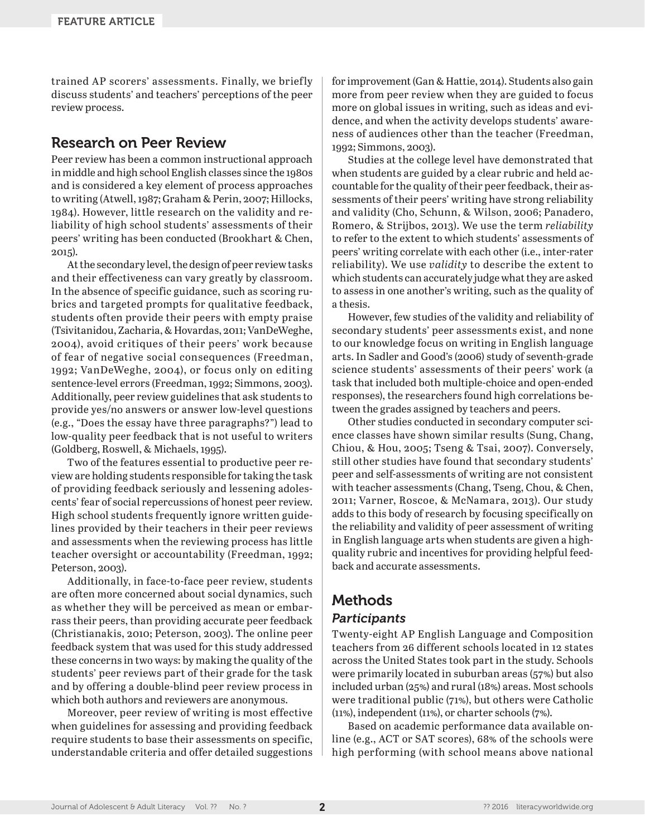trained AP scorers' assessments. Finally, we briefly discuss students' and teachers' perceptions of the peer review process.

# Research on Peer Review

Peer review has been a common instructional approach in middle and high school English classes since the 1980s and is considered a key element of process approaches to writing (Atwell, 1987; Graham & Perin, 2007; Hillocks, 1984). However, little research on the validity and reliability of high school students' assessments of their peers' writing has been conducted (Brookhart & Chen, 2015).

At the secondary level, the design of peer review tasks and their effectiveness can vary greatly by classroom. In the absence of specific guidance, such as scoring rubrics and targeted prompts for qualitative feedback, students often provide their peers with empty praise (Tsivitanidou, Zacharia, & Hovardas, 2011; VanDeWeghe, 2004), avoid critiques of their peers' work because of fear of negative social consequences (Freedman, 1992; VanDeWeghe, 2004), or focus only on editing sentence-level errors (Freedman, 1992; Simmons, 2003). Additionally, peer review guidelines that ask students to provide yes/no answers or answer low-level questions (e.g., "Does the essay have three paragraphs?") lead to low-quality peer feedback that is not useful to writers (Goldberg, Roswell, & Michaels, 1995).

Two of the features essential to productive peer review are holding students responsible for taking the task of providing feedback seriously and lessening adolescents' fear of social repercussions of honest peer review. High school students frequently ignore written guidelines provided by their teachers in their peer reviews and assessments when the reviewing process has little teacher oversight or accountability (Freedman, 1992; Peterson, 2003).

Additionally, in face-to-face peer review, students are often more concerned about social dynamics, such as whether they will be perceived as mean or embarrass their peers, than providing accurate peer feedback (Christianakis, 2010; Peterson, 2003). The online peer feedback system that was used for this study addressed these concerns in two ways: by making the quality of the students' peer reviews part of their grade for the task and by offering a double-blind peer review process in which both authors and reviewers are anonymous.

Moreover, peer review of writing is most effective when guidelines for assessing and providing feedback require students to base their assessments on specific, understandable criteria and offer detailed suggestions for improvement (Gan & Hattie, 2014). Students also gain more from peer review when they are guided to focus more on global issues in writing, such as ideas and evidence, and when the activity develops students' awareness of audiences other than the teacher (Freedman, 1992; Simmons, 2003).

Studies at the college level have demonstrated that when students are guided by a clear rubric and held accountable for the quality of their peer feedback, their assessments of their peers' writing have strong reliability and validity (Cho, Schunn, & Wilson, 2006; Panadero, Romero, & Strijbos, 2013). We use the term *reliability* to refer to the extent to which students' assessments of peers' writing correlate with each other (i.e., inter-rater reliability). We use *validity* to describe the extent to which students can accurately judge what they are asked to assess in one another's writing, such as the quality of a thesis.

However, few studies of the validity and reliability of secondary students' peer assessments exist, and none to our knowledge focus on writing in English language arts. In Sadler and Good's (2006) study of seventh-grade science students' assessments of their peers' work (a task that included both multiple-choice and open-ended responses), the researchers found high correlations between the grades assigned by teachers and peers.

Other studies conducted in secondary computer science classes have shown similar results (Sung, Chang, Chiou, & Hou, 2005; Tseng & Tsai, 2007). Conversely, still other studies have found that secondary students' peer and self-assessments of writing are not consistent with teacher assessments (Chang, Tseng, Chou, & Chen, 2011; Varner, Roscoe, & McNamara, 2013). Our study adds to this body of research by focusing specifically on the reliability and validity of peer assessment of writing in English language arts when students are given a highquality rubric and incentives for providing helpful feedback and accurate assessments.

# Methods

# *Participants*

Twenty-eight AP English Language and Composition teachers from 26 different schools located in 12 states across the United States took part in the study. Schools were primarily located in suburban areas (57%) but also included urban (25%) and rural (18%) areas. Most schools were traditional public (71%), but others were Catholic (11%), independent (11%), or charter schools (7%).

Based on academic performance data available online (e.g., ACT or SAT scores), 68% of the schools were high performing (with school means above national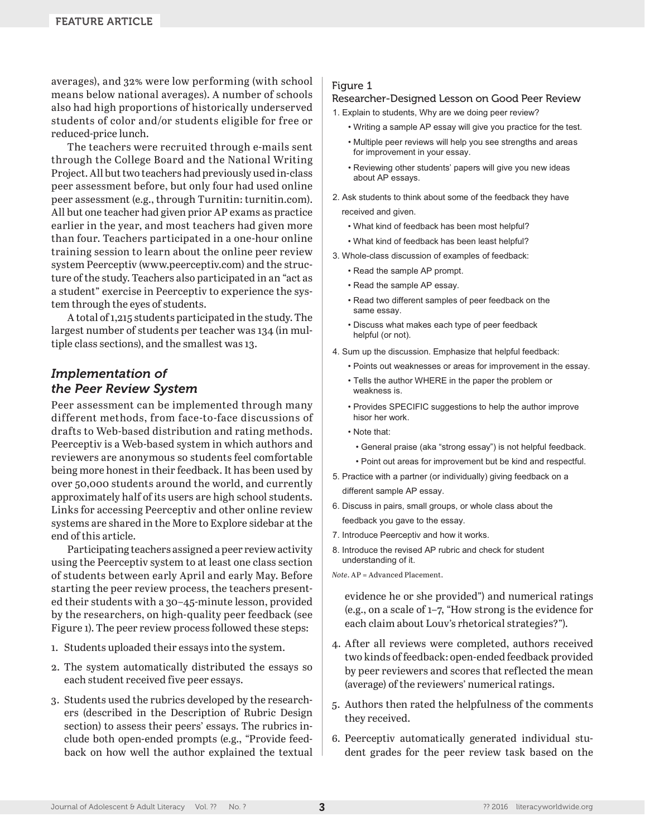averages), and 32% were low performing (with school means below national averages). A number of schools also had high proportions of historically underserved students of color and/or students eligible for free or reduced-price lunch.

The teachers were recruited through e-mails sent through the College Board and the National Writing Project. All but two teachers had previously used in-class peer assessment before, but only four had used online peer assessment (e.g., through Turnitin: [turnitin.com](http://turnitin.com)). All but one teacher had given prior AP exams as practice earlier in the year, and most teachers had given more than four. Teachers participated in a one-hour online training session to learn about the online peer review system Peerceptiv ([www.peerceptiv.com\)](http://www.peerceptiv.com) and the structure of the study. Teachers also participated in an "act as a student" exercise in Peerceptiv to experience the system through the eyes of students.

A total of 1,215 students participated in the study. The largest number of students per teacher was 134 (in multiple class sections), and the smallest was 13.

## *Implementation of the Peer Review System*

Peer assessment can be implemented through many different methods, from face-to-face discussions of drafts to Web-based distribution and rating methods. Peerceptiv is a Web-based system in which authors and reviewers are anonymous so students feel comfortable being more honest in their feedback. It has been used by over 50,000 students around the world, and currently approximately half of its users are high school students. Links for accessing Peerceptiv and other online review systems are shared in the More to Explore sidebar at the end of this article.

Participating teachers assigned a peer review activity using the Peerceptiv system to at least one class section of students between early April and early May. Before starting the peer review process, the teachers presented their students with a 30–45-minute lesson, provided by the researchers, on high-quality peer feedback (see Figure 1). The peer review process followed these steps:

- 1. Students uploaded their essays into the system.
- 2. The system automatically distributed the essays so each student received five peer essays.
- 3. Students used the rubrics developed by the researchers (described in the Description of Rubric Design section) to assess their peers' essays. The rubrics include both open-ended prompts (e.g., "Provide feedback on how well the author explained the textual

#### Figure 1

#### Researcher-Designed Lesson on Good Peer Review

1. Explain to students, Why are we doing peer review?

- Writing a sample AP essay will give you practice for the test.
- Multiple peer reviews will help you see strengths and areas for improvement in your essay.
- Reviewing other students' papers will give you new ideas about AP essays.
- 2. Ask students to think about some of the feedback they have received and given.
	- What kind of feedback has been most helpful?
	- What kind of feedback has been least helpful?
- 3. Whole-class discussion of examples of feedback:
	- Read the sample AP prompt.
	- Read the sample AP essay.
	- Read two different samples of peer feedback on the same essay.
	- Discuss what makes each type of peer feedback helpful (or not).
- 4. Sum up the discussion. Emphasize that helpful feedback:
	- Points out weaknesses or areas for improvement in the essay.
	- Tells the author WHERE in the paper the problem or weakness is.
	- Provides SPECIFIC suggestions to help the author improve hisor her work.
	- Note that:
		- General praise (aka "strong essay") is not helpful feedback.
		- Point out areas for improvement but be kind and respectful.
- 5. Practice with a partner (or individually) giving feedback on a different sample AP essay.
- 6. Discuss in pairs, small groups, or whole class about the feedback you gave to the essay.
- 7. Introduce Peerceptiv and how it works.
- 8. Introduce the revised AP rubric and check for student understanding of it.

*Note*. AP = Advanced Placement.

evidence he or she provided") and numerical ratings (e.g., on a scale of 1–7, "How strong is the evidence for each claim about Louv's rhetorical strategies?").

- 4. After all reviews were completed, authors received two kinds of feedback: open-ended feedback provided by peer reviewers and scores that reflected the mean (average) of the reviewers' numerical ratings.
- 5. Authors then rated the helpfulness of the comments they received.
- 6. Peerceptiv automatically generated individual student grades for the peer review task based on the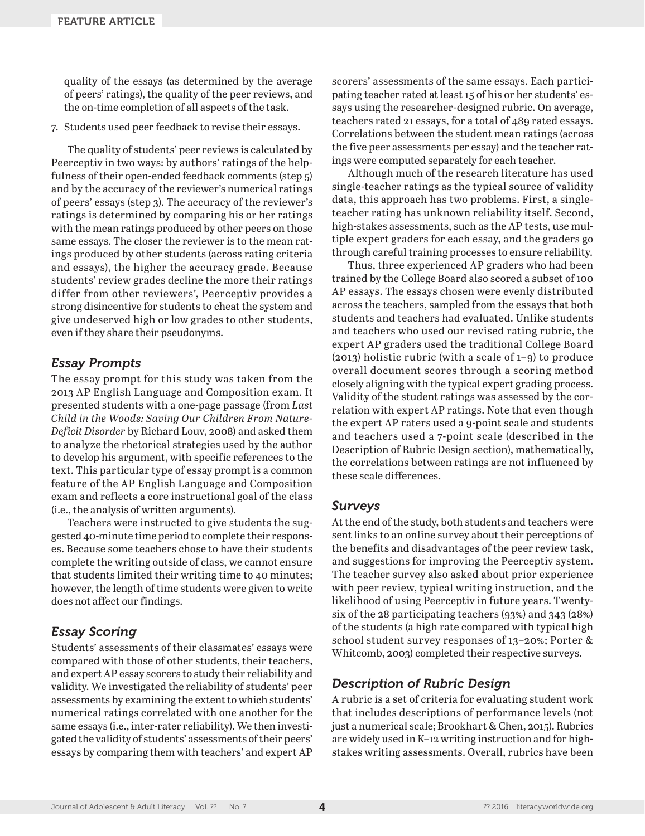quality of the essays (as determined by the average of peers' ratings), the quality of the peer reviews, and the on-time completion of all aspects of the task.

7. Students used peer feedback to revise their essays.

The quality of students' peer reviews is calculated by Peerceptiv in two ways: by authors' ratings of the helpfulness of their open-ended feedback comments (step 5) and by the accuracy of the reviewer's numerical ratings of peers' essays (step 3). The accuracy of the reviewer's ratings is determined by comparing his or her ratings with the mean ratings produced by other peers on those same essays. The closer the reviewer is to the mean ratings produced by other students (across rating criteria and essays), the higher the accuracy grade. Because students' review grades decline the more their ratings differ from other reviewers', Peerceptiv provides a strong disincentive for students to cheat the system and give undeserved high or low grades to other students, even if they share their pseudonyms.

# *Essay Prompts*

The essay prompt for this study was taken from the 2013 AP English Language and Composition exam. It presented students with a one-page passage (from *Last Child in the Woods: Saving Our Children From Nature-Deficit Disorder* by Richard Louv, 2008) and asked them to analyze the rhetorical strategies used by the author to develop his argument, with specific references to the text. This particular type of essay prompt is a common feature of the AP English Language and Composition exam and reflects a core instructional goal of the class (i.e., the analysis of written arguments).

Teachers were instructed to give students the suggested 40-minute time period to complete their responses. Because some teachers chose to have their students complete the writing outside of class, we cannot ensure that students limited their writing time to 40 minutes; however, the length of time students were given to write does not affect our findings.

# *Essay Scoring*

Students' assessments of their classmates' essays were compared with those of other students, their teachers, and expert AP essay scorers to study their reliability and validity. We investigated the reliability of students' peer assessments by examining the extent to which students' numerical ratings correlated with one another for the same essays (i.e., inter-rater reliability). We then investigated the validity of students' assessments of their peers' essays by comparing them with teachers' and expert AP scorers' assessments of the same essays. Each participating teacher rated at least 15 of his or her students' essays using the researcher-designed rubric. On average, teachers rated 21 essays, for a total of 489 rated essays. Correlations between the student mean ratings (across the five peer assessments per essay) and the teacher ratings were computed separately for each teacher.

Although much of the research literature has used single-teacher ratings as the typical source of validity data, this approach has two problems. First, a singleteacher rating has unknown reliability itself. Second, high-stakes assessments, such as the AP tests, use multiple expert graders for each essay, and the graders go through careful training processes to ensure reliability.

Thus, three experienced AP graders who had been trained by the College Board also scored a subset of 100 AP essays. The essays chosen were evenly distributed across the teachers, sampled from the essays that both students and teachers had evaluated. Unlike students and teachers who used our revised rating rubric, the expert AP graders used the traditional College Board (2013) holistic rubric (with a scale of 1–9) to produce overall document scores through a scoring method closely aligning with the typical expert grading process. Validity of the student ratings was assessed by the correlation with expert AP ratings. Note that even though the expert AP raters used a 9-point scale and students and teachers used a 7-point scale (described in the Description of Rubric Design section), mathematically, the correlations between ratings are not influenced by these scale differences.

## *Surveys*

At the end of the study, both students and teachers were sent links to an online survey about their perceptions of the benefits and disadvantages of the peer review task, and suggestions for improving the Peerceptiv system. The teacher survey also asked about prior experience with peer review, typical writing instruction, and the likelihood of using Peerceptiv in future years. Twentysix of the 28 participating teachers (93%) and 343 (28%) of the students (a high rate compared with typical high school student survey responses of 13–20%; Porter & Whitcomb, 2003) completed their respective surveys.

# *Description of Rubric Design*

A rubric is a set of criteria for evaluating student work that includes descriptions of performance levels (not just a numerical scale; Brookhart & Chen, 2015). Rubrics are widely used in K–12 writing instruction and for highstakes writing assessments. Overall, rubrics have been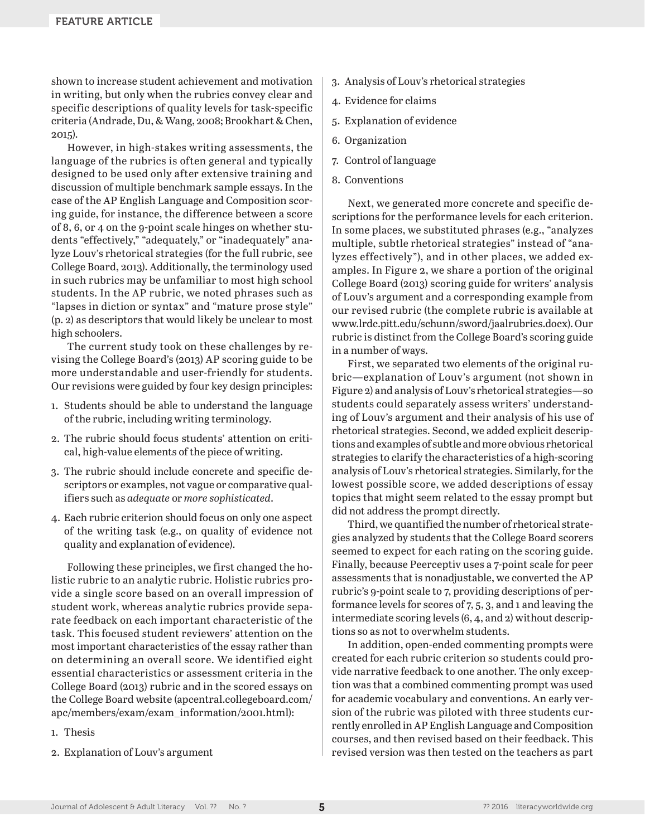shown to increase student achievement and motivation in writing, but only when the rubrics convey clear and specific descriptions of quality levels for task-specific criteria (Andrade, Du, & Wang, 2008; Brookhart & Chen, 2015).

However, in high-stakes writing assessments, the language of the rubrics is often general and typically designed to be used only after extensive training and discussion of multiple benchmark sample essays. In the case of the AP English Language and Composition scoring guide, for instance, the difference between a score of 8, 6, or 4 on the 9-point scale hinges on whether students "effectively," "adequately," or "inadequately" analyze Louv's rhetorical strategies (for the full rubric, see College Board, 2013). Additionally, the terminology used in such rubrics may be unfamiliar to most high school students. In the AP rubric, we noted phrases such as "lapses in diction or syntax" and "mature prose style" (p. 2) as descriptors that would likely be unclear to most high schoolers.

The current study took on these challenges by revising the College Board's (2013) AP scoring guide to be more understandable and user-friendly for students. Our revisions were guided by four key design principles:

- 1. Students should be able to understand the language of the rubric, including writing terminology.
- 2. The rubric should focus students' attention on critical, high-value elements of the piece of writing.
- 3. The rubric should include concrete and specific descriptors or examples, not vague or comparative qualifiers such as *adequate* or *more sophisticated*.
- 4. Each rubric criterion should focus on only one aspect of the writing task (e.g., on quality of evidence not quality and explanation of evidence).

Following these principles, we first changed the holistic rubric to an analytic rubric. Holistic rubrics provide a single score based on an overall impression of student work, whereas analytic rubrics provide separate feedback on each important characteristic of the task. This focused student reviewers' attention on the most important characteristics of the essay rather than on determining an overall score. We identified eight essential characteristics or assessment criteria in the College Board (2013) rubric and in the scored essays on the College Board website ([apcentral.collegeboard.com/](http://apcentral.collegeboard.com/%0d%0aapc/members/exam/exam_information/2001.html) [apc/members/exam/exam\\_information/2001.html\)](http://apcentral.collegeboard.com/%0d%0aapc/members/exam/exam_information/2001.html):

1. Thesis

2. Explanation of Louv's argument

- 3. Analysis of Louv's rhetorical strategies
- 4. Evidence for claims
- 5. Explanation of evidence
- 6. Organization
- 7. Control of language
- 8. Conventions

Next, we generated more concrete and specific descriptions for the performance levels for each criterion. In some places, we substituted phrases (e.g., "analyzes multiple, subtle rhetorical strategies" instead of "analyzes effectively"), and in other places, we added examples. In Figure 2, we share a portion of the original College Board (2013) scoring guide for writers' analysis of Louv's argument and a corresponding example from our revised rubric (the complete rubric is available at [www.lrdc.pitt.edu/schunn/sword/jaalrubrics.docx](http://www.lrdc.pitt.edu/schunn/sword/jaalrubrics.docx)). Our rubric is distinct from the College Board's scoring guide in a number of ways.

First, we separated two elements of the original rubric—explanation of Louv's argument (not shown in Figure 2) and analysis of Louv's rhetorical strategies—so students could separately assess writers' understanding of Louv's argument and their analysis of his use of rhetorical strategies. Second, we added explicit descriptions and examples of subtle and more obvious rhetorical strategies to clarify the characteristics of a high-scoring analysis of Louv's rhetorical strategies. Similarly, for the lowest possible score, we added descriptions of essay topics that might seem related to the essay prompt but did not address the prompt directly.

Third, we quantified the number of rhetorical strategies analyzed by students that the College Board scorers seemed to expect for each rating on the scoring guide. Finally, because Peerceptiv uses a 7-point scale for peer assessments that is nonadjustable, we converted the AP rubric's 9-point scale to 7, providing descriptions of performance levels for scores of 7, 5, 3, and 1 and leaving the intermediate scoring levels (6, 4, and 2) without descriptions so as not to overwhelm students.

In addition, open-ended commenting prompts were created for each rubric criterion so students could provide narrative feedback to one another. The only exception was that a combined commenting prompt was used for academic vocabulary and conventions. An early version of the rubric was piloted with three students currently enrolled in AP English Language and Composition courses, and then revised based on their feedback. This revised version was then tested on the teachers as part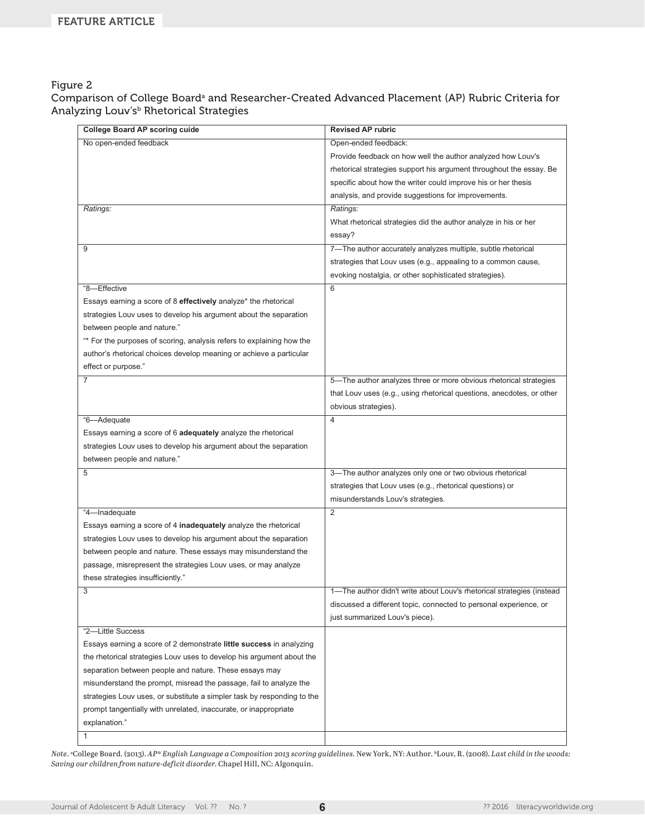#### Figure 2

Comparison of College Board<sup>a</sup> and Researcher-Created Advanced Placement (AP) Rubric Criteria for Analyzing Louv's<sup>b</sup> Rhetorical Strategies

| <b>College Board AP scoring cuide</b>                                   | <b>Revised AP rubric</b>                                              |
|-------------------------------------------------------------------------|-----------------------------------------------------------------------|
| No open-ended feedback                                                  | Open-ended feedback:                                                  |
|                                                                         | Provide feedback on how well the author analyzed how Louv's           |
|                                                                         | rhetorical strategies support his argument throughout the essay. Be   |
|                                                                         | specific about how the writer could improve his or her thesis         |
|                                                                         | analysis, and provide suggestions for improvements.                   |
| Ratings:                                                                | Ratings:                                                              |
|                                                                         | What rhetorical strategies did the author analyze in his or her       |
|                                                                         | essay?                                                                |
| 9                                                                       | 7-The author accurately analyzes multiple, subtle rhetorical          |
|                                                                         | strategies that Louv uses (e.g., appealing to a common cause,         |
|                                                                         | evoking nostalgia, or other sophisticated strategies).                |
| "8-Effective                                                            | 6                                                                     |
| Essays earning a score of 8 effectively analyze* the rhetorical         |                                                                       |
| strategies Louv uses to develop his argument about the separation       |                                                                       |
| between people and nature."                                             |                                                                       |
| "* For the purposes of scoring, analysis refers to explaining how the   |                                                                       |
| author's rhetorical choices develop meaning or achieve a particular     |                                                                       |
| effect or purpose."                                                     |                                                                       |
| $\overline{7}$                                                          | 5-The author analyzes three or more obvious rhetorical strategies     |
|                                                                         | that Louv uses (e.g., using rhetorical questions, anecdotes, or other |
|                                                                         |                                                                       |
|                                                                         | obvious strategies).<br>$\overline{4}$                                |
| "6-Adequate                                                             |                                                                       |
| Essays earning a score of 6 adequately analyze the rhetorical           |                                                                       |
| strategies Louv uses to develop his argument about the separation       |                                                                       |
| between people and nature."<br>5                                        | 3-The author analyzes only one or two obvious rhetorical              |
|                                                                         |                                                                       |
|                                                                         | strategies that Louv uses (e.g., rhetorical questions) or             |
|                                                                         | misunderstands Louv's strategies.                                     |
| "4-Inadequate                                                           | $\overline{2}$                                                        |
| Essays earning a score of 4 inadequately analyze the rhetorical         |                                                                       |
| strategies Louv uses to develop his argument about the separation       |                                                                       |
| between people and nature. These essays may misunderstand the           |                                                                       |
| passage, misrepresent the strategies Louv uses, or may analyze          |                                                                       |
| these strategies insufficiently."                                       |                                                                       |
| 3                                                                       | 1-The author didn't write about Louv's rhetorical strategies (instead |
|                                                                         | discussed a different topic, connected to personal experience, or     |
|                                                                         | just summarized Louv's piece).                                        |
| "2-Little Success                                                       |                                                                       |
| Essays earning a score of 2 demonstrate little success in analyzing     |                                                                       |
| the rhetorical strategies Louv uses to develop his argument about the   |                                                                       |
| separation between people and nature. These essays may                  |                                                                       |
| misunderstand the prompt, misread the passage, fail to analyze the      |                                                                       |
| strategies Louv uses, or substitute a simpler task by responding to the |                                                                       |
| prompt tangentially with unrelated, inaccurate, or inappropriate        |                                                                       |
| explanation."                                                           |                                                                       |
| 1                                                                       |                                                                       |

*Note*. a College Board. (2013). *AP*® *English Language a Composition 2013 scoring guidelines*. New York, NY: Author. bLouv, R. (2008). *Last child in the woods: Saving our children from nature-deficit disorder*. Chapel Hill, NC: Algonquin.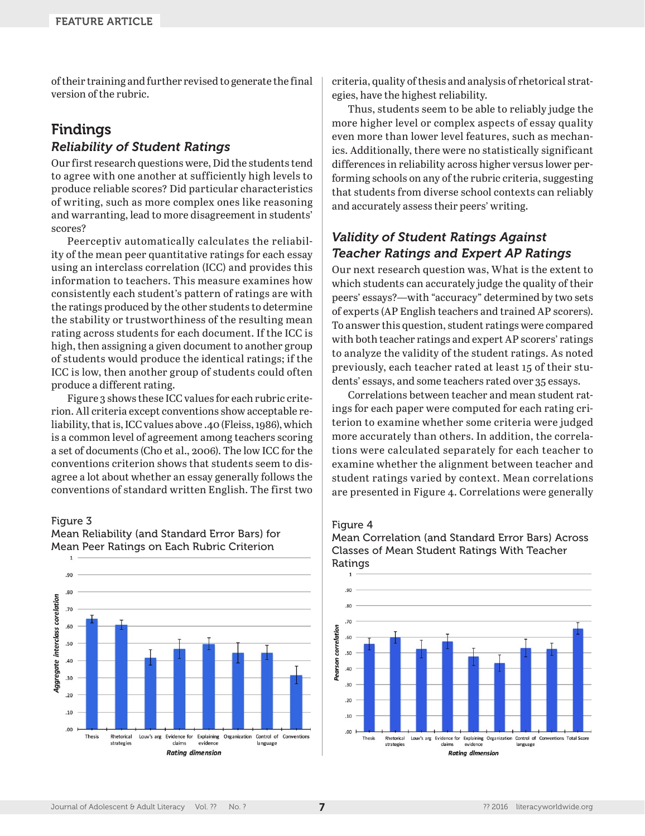of their training and further revised to generate the final version of the rubric.

# Findings *Reliability of Student Ratings*

Our first research questions were, Did the students tend to agree with one another at sufficiently high levels to produce reliable scores? Did particular characteristics of writing, such as more complex ones like reasoning and warranting, lead to more disagreement in students' scores?

Peerceptiv automatically calculates the reliability of the mean peer quantitative ratings for each essay using an interclass correlation (ICC) and provides this information to teachers. This measure examines how consistently each student's pattern of ratings are with the ratings produced by the other students to determine the stability or trustworthiness of the resulting mean rating across students for each document. If the ICC is high, then assigning a given document to another group of students would produce the identical ratings; if the ICC is low, then another group of students could often produce a different rating.

Figure 3 shows these ICC values for each rubric criterion. All criteria except conventions show acceptable reliability, that is, ICC values above .40 (Fleiss, 1986), which is a common level of agreement among teachers scoring a set of documents (Cho et al., 2006). The low ICC for the conventions criterion shows that students seem to disagree a lot about whether an essay generally follows the conventions of standard written English. The first two

#### Figure 3



Mean Reliability (and Standard Error Bars) for Mean Peer Ratings on Each Rubric Criterion

criteria, quality of thesis and analysis of rhetorical strategies, have the highest reliability.

Thus, students seem to be able to reliably judge the more higher level or complex aspects of essay quality even more than lower level features, such as mechanics. Additionally, there were no statistically significant differences in reliability across higher versus lower performing schools on any of the rubric criteria, suggesting that students from diverse school contexts can reliably and accurately assess their peers' writing.

# *Validity of Student Ratings Against Teacher Ratings and Expert AP Ratings*

Our next research question was, What is the extent to which students can accurately judge the quality of their peers' essays?—with "accuracy" determined by two sets of experts (AP English teachers and trained AP scorers). To answer this question, student ratings were compared with both teacher ratings and expert AP scorers' ratings to analyze the validity of the student ratings. As noted previously, each teacher rated at least 15 of their students' essays, and some teachers rated over 35 essays.

Correlations between teacher and mean student ratings for each paper were computed for each rating criterion to examine whether some criteria were judged more accurately than others. In addition, the correlations were calculated separately for each teacher to examine whether the alignment between teacher and student ratings varied by context. Mean correlations are presented in Figure 4. Correlations were generally

#### Figure 4



#### Mean Correlation (and Standard Error Bars) Across Classes of Mean Student Ratings With Teacher Ratings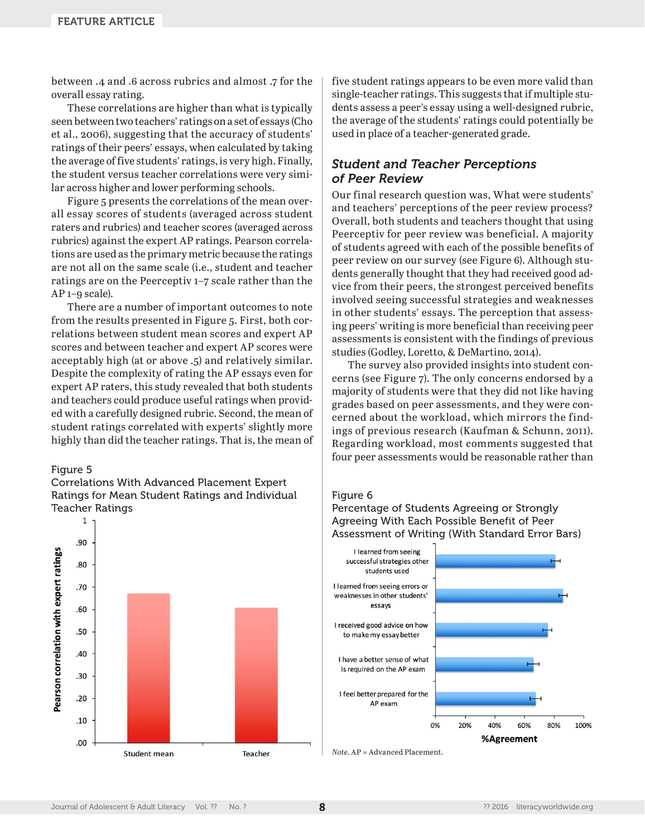between .4 and .6 across rubrics and almost .7 for the overall essay rating.

These correlations are higher than what is typically seen between two teachers' ratings on a set of essays (Cho et al., 2006), suggesting that the accuracy of students' ratings of their peers' essays, when calculated by taking the average of five students' ratings, is very high. Finally, the student versus teacher correlations were very similar across higher and lower performing schools.

Figure 5 presents the correlations of the mean overall essay scores of students (averaged across student raters and rubrics) and teacher scores (averaged across rubrics) against the expert AP ratings. Pearson correlations are used as the primary metric because the ratings are not all on the same scale (i.e., student and teacher ratings are on the Peerceptiv 1–7 scale rather than the AP 1–9 scale).

There are a number of important outcomes to note from the results presented in Figure 5. First, both correlations between student mean scores and expert AP scores and between teacher and expert AP scores were acceptably high (at or above .5) and relatively similar. Despite the complexity of rating the AP essays even for expert AP raters, this study revealed that both students and teachers could produce useful ratings when provided with a carefully designed rubric. Second, the mean of student ratings correlated with experts' slightly more highly than did the teacher ratings. That is, the mean of

#### Figure 5





five student ratings appears to be even more valid than single-teacher ratings. This suggests that if multiple students assess a peer's essay using a well-designed rubric, the average of the students' ratings could potentially be used in place of a teacher-generated grade.

# *Student and Teacher Perceptions of Peer Review*

Our final research question was, What were students' and teachers' perceptions of the peer review process? Overall, both students and teachers thought that using Peerceptiv for peer review was beneficial. A majority of students agreed with each of the possible benefits of peer review on our survey (see Figure 6). Although students generally thought that they had received good advice from their peers, the strongest perceived benefits involved seeing successful strategies and weaknesses in other students' essays. The perception that assessing peers' writing is more beneficial than receiving peer assessments is consistent with the findings of previous studies (Godley, Loretto, & DeMartino, 2014).

The survey also provided insights into student concerns (see Figure 7). The only concerns endorsed by a majority of students were that they did not like having grades based on peer assessments, and they were concerned about the workload, which mirrors the findings of previous research (Kaufman & Schunn, 2011). Regarding workload, most comments suggested that four peer assessments would be reasonable rather than

#### Figure 6

Percentage of Students Agreeing or Strongly Agreeing With Each Possible Benefit of Peer Assessment of Writing (With Standard Error Bars)



*Note*. AP = Advanced Placement.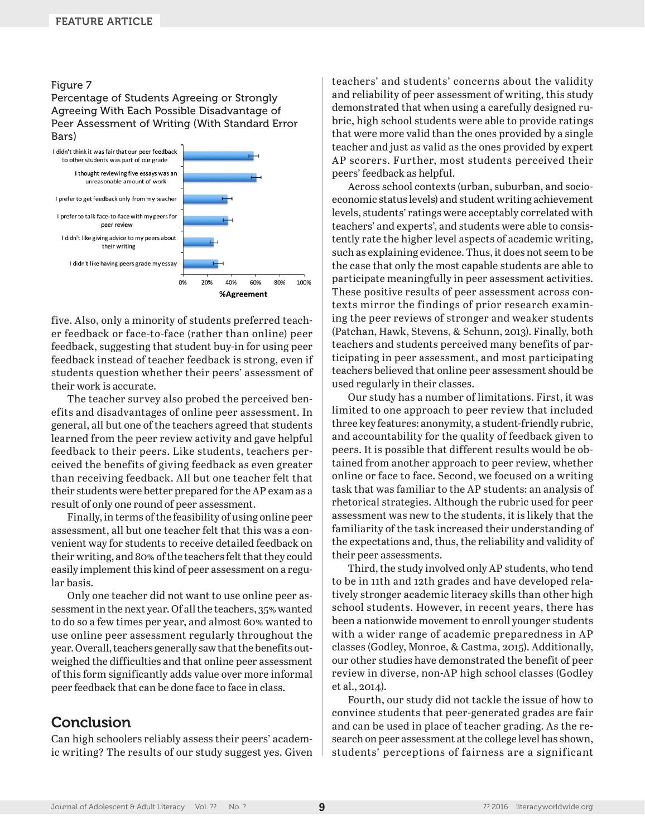#### Figure 7

#### Percentage of Students Agreeing or Strongly Agreeing With Each Possible Disadvantage of Peer Assessment of Writing (With Standard Error Bars)



five. Also, only a minority of students preferred teacher feedback or face-to-face (rather than online) peer feedback, suggesting that student buy-in for using peer feedback instead of teacher feedback is strong, even if students question whether their peers' assessment of their work is accurate.

The teacher survey also probed the perceived benefits and disadvantages of online peer assessment. In general, all but one of the teachers agreed that students learned from the peer review activity and gave helpful feedback to their peers. Like students, teachers perceived the benefits of giving feedback as even greater than receiving feedback. All but one teacher felt that their students were better prepared for the AP exam as a result of only one round of peer assessment.

Finally, in terms of the feasibility of using online peer assessment, all but one teacher felt that this was a convenient way for students to receive detailed feedback on their writing, and 80% of the teachers felt that they could easily implement this kind of peer assessment on a regular basis.

Only one teacher did not want to use online peer assessment in the next year. Of all the teachers, 35% wanted to do so a few times per year, and almost 60% wanted to use online peer assessment regularly throughout the year. Overall, teachers generally saw that the benefits outweighed the difficulties and that online peer assessment of this form significantly adds value over more informal peer feedback that can be done face to face in class.

# Conclusion

Can high schoolers reliably assess their peers' academic writing? The results of our study suggest yes. Given teachers' and students' concerns about the validity and reliability of peer assessment of writing, this study demonstrated that when using a carefully designed rubric, high school students were able to provide ratings that were more valid than the ones provided by a single teacher and just as valid as the ones provided by expert AP scorers. Further, most students perceived their peers' feedback as helpful.

Across school contexts (urban, suburban, and socioeconomic status levels) and student writing achievement levels, students' ratings were acceptably correlated with teachers' and experts', and students were able to consistently rate the higher level aspects of academic writing, such as explaining evidence. Thus, it does not seem to be the case that only the most capable students are able to participate meaningfully in peer assessment activities. These positive results of peer assessment across contexts mirror the findings of prior research examining the peer reviews of stronger and weaker students (Patchan, Hawk, Stevens, & Schunn, 2013). Finally, both teachers and students perceived many benefits of participating in peer assessment, and most participating teachers believed that online peer assessment should be used regularly in their classes.

Our study has a number of limitations. First, it was limited to one approach to peer review that included three key features: anonymity, a student-friendly rubric, and accountability for the quality of feedback given to peers. It is possible that different results would be obtained from another approach to peer review, whether online or face to face. Second, we focused on a writing task that was familiar to the AP students: an analysis of rhetorical strategies. Although the rubric used for peer assessment was new to the students, it is likely that the familiarity of the task increased their understanding of the expectations and, thus, the reliability and validity of their peer assessments.

Third, the study involved only AP students, who tend to be in 11th and 12th grades and have developed relatively stronger academic literacy skills than other high school students. However, in recent years, there has been a nationwide movement to enroll younger students with a wider range of academic preparedness in AP classes (Godley, Monroe, & Castma, 2015). Additionally, our other studies have demonstrated the benefit of peer review in diverse, non-AP high school classes (Godley et al., 2014).

Fourth, our study did not tackle the issue of how to convince students that peer-generated grades are fair and can be used in place of teacher grading. As the research on peer assessment at the college level has shown, students' perceptions of fairness are a significant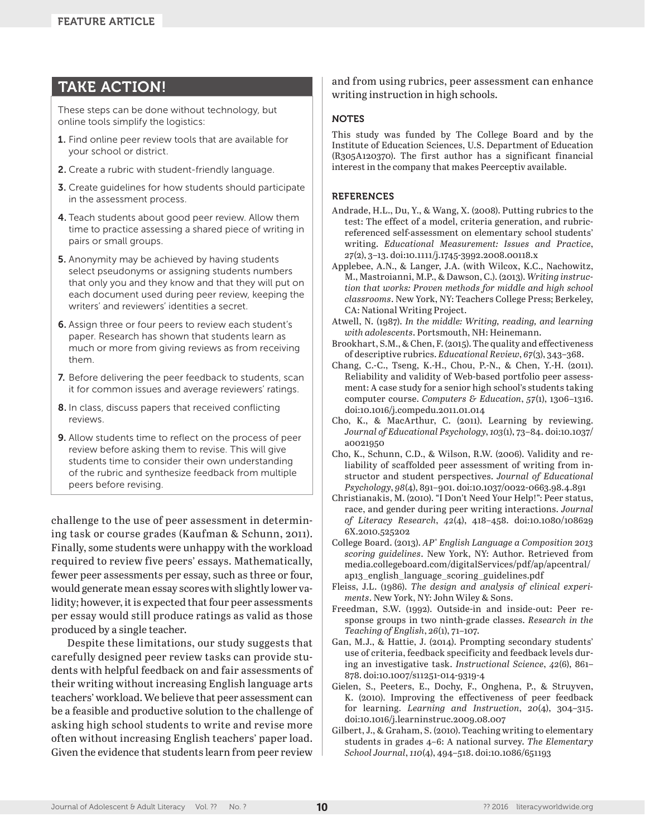# TAKE ACTION!

These steps can be done without technology, but online tools simplify the logistics:

- 1. Find online peer review tools that are available for your school or district.
- 2. Create a rubric with student-friendly language.
- 3. Create guidelines for how students should participate in the assessment process.
- 4. Teach students about good peer review. Allow them time to practice assessing a shared piece of writing in pairs or small groups.
- 5. Anonymity may be achieved by having students select pseudonyms or assigning students numbers that only you and they know and that they will put on each document used during peer review, keeping the writers' and reviewers' identities a secret.
- 6. Assign three or four peers to review each student's paper. Research has shown that students learn as much or more from giving reviews as from receiving them.
- 7. Before delivering the peer feedback to students, scan it for common issues and average reviewers' ratings.
- 8. In class, discuss papers that received conflicting reviews.
- 9. Allow students time to reflect on the process of peer review before asking them to revise. This will give students time to consider their own understanding of the rubric and synthesize feedback from multiple peers before revising.

challenge to the use of peer assessment in determining task or course grades (Kaufman & Schunn, 2011). Finally, some students were unhappy with the workload required to review five peers' essays. Mathematically, fewer peer assessments per essay, such as three or four, would generate mean essay scores with slightly lower validity; however, it is expected that four peer assessments per essay would still produce ratings as valid as those produced by a single teacher.

Despite these limitations, our study suggests that carefully designed peer review tasks can provide students with helpful feedback on and fair assessments of their writing without increasing English language arts teachers' workload. We believe that peer assessment can be a feasible and productive solution to the challenge of asking high school students to write and revise more often without increasing English teachers' paper load. Given the evidence that students learn from peer review and from using rubrics, peer assessment can enhance writing instruction in high schools.

#### **NOTES**

This study was funded by The College Board and by the Institute of Education Sciences, U.S. Department of Education (R305A120370). The first author has a significant financial interest in the company that makes Peerceptiv available.

#### REFERENCES

- Andrade, H.L., Du, Y., & Wang, X. (2008). Putting rubrics to the test: The effect of a model, criteria generation, and rubricreferenced self-assessment on elementary school students' writing. *Educational Measurement: Issues and Practice*, *27*(2), 3–13. doi:10.1111/j.1745-3992.2008.00118.x
- Applebee, A.N., & Langer, J.A. (with Wilcox, K.C., Nachowitz, M., Mastroianni, M.P., & Dawson, C.). (2013). *Writing instruction that works: Proven methods for middle and high school classrooms*. New York, NY: Teachers College Press; Berkeley, CA: National Writing Project.
- Atwell, N. (1987). *In the middle: Writing, reading, and learning with adolescents*. Portsmouth, NH: Heinemann.
- Brookhart, S.M., & Chen, F. (2015). The quality and effectiveness of descriptive rubrics. *Educational Review*, *67*(3), 343–368.
- Chang, C.-C., Tseng, K.-H., Chou, P.-N., & Chen, Y.-H. (2011). Reliability and validity of Web-based portfolio peer assessment: A case study for a senior high school's students taking computer course. *Computers & Education*, *57*(1), 1306–1316. doi:10.1016/j.compedu.2011.01.014
- Cho, K., & MacArthur, C. (2011). Learning by reviewing. *Journal of Educational Psychology*, *103*(1), 73–84. doi:10.1037/ a0021950
- Cho, K., Schunn, C.D., & Wilson, R.W. (2006). Validity and reliability of scaffolded peer assessment of writing from instructor and student perspectives. *Journal of Educational Psychology*, *98*(4), 891–901. doi:10.1037/0022-0663.98.4.891
- Christianakis, M. (2010). "I Don't Need Your Help!": Peer status, race, and gender during peer writing interactions. *Journal of Literacy Research*, *42*(4), 418–458. doi:10.1080/108629 6X.2010.525202
- College Board. (2013). *AP® English Language a Composition 2013 scoring guidelines*. New York, NY: Author. Retrieved from [media.collegeboard.com/digitalServices/pdf/ap/apcentral/](http://media.collegeboard.com/digitalServices/pdf/ap/apcentral/ap13_english_language_scoring_guidelines.pdf) [ap13\\_english\\_language\\_scoring\\_guidelines.pdf](http://media.collegeboard.com/digitalServices/pdf/ap/apcentral/ap13_english_language_scoring_guidelines.pdf)
- Fleiss, J.L. (1986). *The design and analysis of clinical experiments*. New York, NY: John Wiley & Sons.
- Freedman, S.W. (1992). Outside-in and inside-out: Peer response groups in two ninth-grade classes. *Research in the Teaching of English*, *26*(1), 71–107.
- Gan, M.J., & Hattie, J. (2014). Prompting secondary students' use of criteria, feedback specificity and feedback levels during an investigative task. *Instructional Science*, *42*(6), 861– 878. doi:10.1007/s11251-014-9319-4
- Gielen, S., Peeters, E., Dochy, F., Onghena, P., & Struyven, K. (2010). Improving the effectiveness of peer feedback for learning. *Learning and Instruction*, *20*(4), 304–315. doi:10.1016/j.learninstruc.2009.08.007
- Gilbert, J., & Graham, S. (2010). Teaching writing to elementary students in grades 4–6: A national survey. *The Elementary School Journal*, *110*(4), 494–518. doi:10.1086/651193